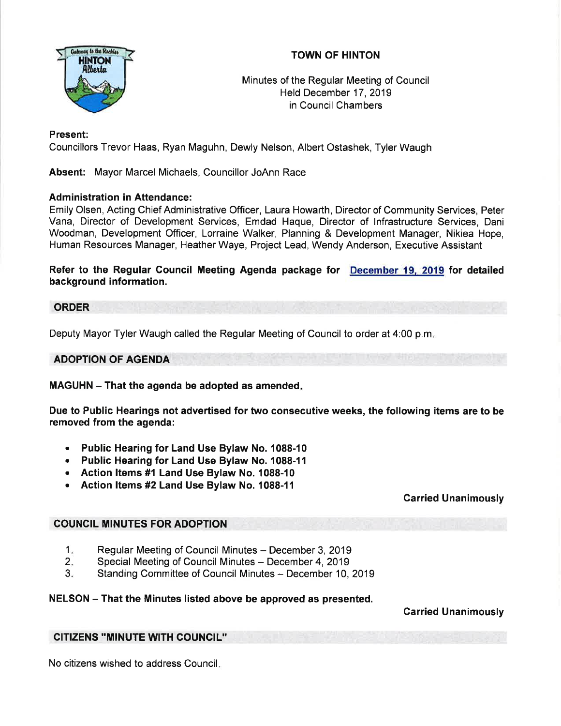



Minutes of the Regular Meeting of Council Held December 17,2019 in Council Chambers

# Present:

Councillors Trevor Haas, Ryan Maguhn, Dewly Nelson, Albert Ostashek, Tyler Waugh

Absent: Mayor Marcel Michaels, Councillor JoAnn Race

## Administration in Attendance:

Emily Olsen, Acting Chief Administrative Officer, Laura Howarth, Director of Community Services, Peter Vana, Director of Development Services, Emdad Haque, Director of lnfrastructure Services, Dani Woodman, Development Officer, Lorraine Walker, Planning & Development Manager, Nikiea Hope, Human Resources Manager, Heather Waye, Project Lead, Wendy Anderson, Executive Assistant

Refer to the Regular Gouncil Meeting Agenda package for December 19. 2019 for detailed background information.

## ORDER

Deputy Mayor Tyler Waugh called the Regular Meeting of Council to order at 4:00 p.m

ADOPTION OF AGENDA

MAGUHN - That the agenda be adopted as amended.

Due to Public Hearings not advertised for two consecutive weeks, the following items are to be removed from the agenda:

- . Public Hearing for Land Use Bylaw No. 1088-10
- Public Hearing for Land Use Bylaw No. 1088-11
- . Action ltems #1 Land Use Bylaw No. 1088-10
- o Action ltems #2 Land Use Bylaw No. 1088-11

## Carried Unanimously

## COUNCIL MINUTES FOR ADOPTION

- Regular Meeting of Council Minutes December 3, 2019  $1<sub>x</sub>$
- Special Meeting of Council Minutes December 4, 2019  $2.$
- Standing Committee of Council Minutes December 10, 2019  $3 -$

## NELSON - That the Minutes listed above be approved as presented.

Garried Unanimously

# CITIZENS ''MINUTE WITH COUNCIL"

No citizens wished to address Council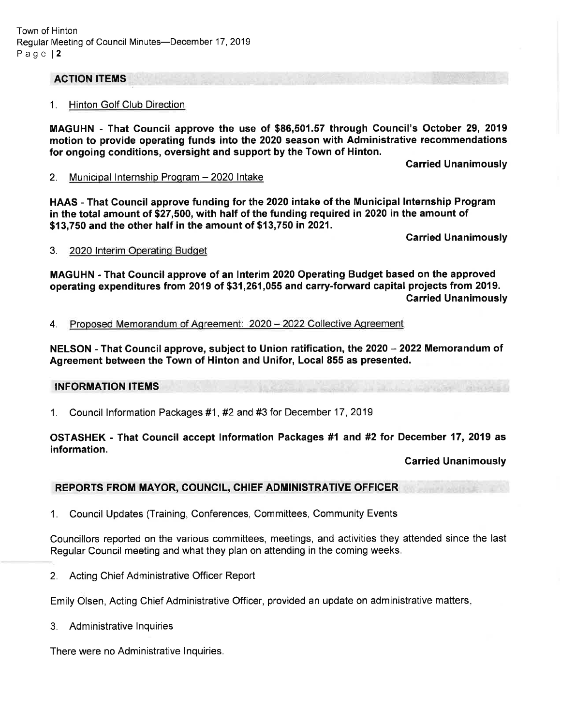#### ACTION ITEMS

#### 1. Hinton Golf Club Direction

MAGUHN - That Council approve the use of \$86,501.57 through Council's October 29, 2019 motion to provide operating funds into the 2020 season with Administrative recommendations for ongoing conditions, oversight and support by the Town of Hinton.

Carried Unanimously

2. Municipal Internship Program - 2020 Intake

HAAS - That Council approve funding for the 2020 intake of the Municipal Internship Program in the total amount of \$27,500, with half of the funding required in 2020 in the amount of \$13,750 and the other half in the amount of \$13,750 in 2021.

Carried Unanimously

#### 3. 2020 lnterim Operatinq Budqet

MAGUHN - That Gouncil approve of an lnterim 2020 Operating Budget based on the approved operating expenditures from 2019 of \$31,261,055 and carry-forward capital projects from 2019. Carried Unanimously

#### 4. Proposed Memorandum of Agreement: 2020 - 2022 Collective Aqreement

NELSON - That Council approve, subject to Union ratification, the 2020 - 2022 Memorandum of Agreement between the Town of Hinton and Unifor, Local 855 as presented.

#### INFORMATION ITEMS

<sup>1</sup>. Council lnformation Packages #1 , #2 and #3 for December 17 , <sup>2019</sup>

#### OSTASHEK - That Council accept Information Packages #1 and #2 for December 17, 2019 as information.

#### Carried Unanimously

#### REPORTS FROM MAYOR, COUNCIL, CHIEF ADMINISTRATIVE OFFICER

1. Council Updates (Training, Conferences, Committees, Community Events

Councillors reported on the various committees, meetings, and activities they attended since the last Regular Council meeting and what they plan on attending in the coming weeks.

2. Acting Chief Administrative Officer Report

Emily Olsen, Acting Chief Administrative Officer, provided an update on administrative matters

3. Administrative lnquiries

There were no Administrative lnquiries.